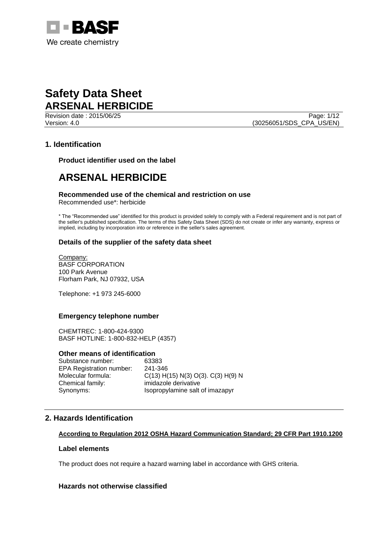

Page: 1/12 Version: 4.0 (30256051/SDS\_CPA\_US/EN)

# **1. Identification**

**Product identifier used on the label**

# **ARSENAL HERBICIDE**

## **Recommended use of the chemical and restriction on use**

Recommended use\*: herbicide

\* The "Recommended use" identified for this product is provided solely to comply with a Federal requirement and is not part of the seller's published specification. The terms of this Safety Data Sheet (SDS) do not create or infer any warranty, express or implied, including by incorporation into or reference in the seller's sales agreement.

# **Details of the supplier of the safety data sheet**

Company: BASF CORPORATION 100 Park Avenue Florham Park, NJ 07932, USA

Telephone: +1 973 245-6000

# **Emergency telephone number**

CHEMTREC: 1-800-424-9300 BASF HOTLINE: 1-800-832-HELP (4357)

## **Other means of identification**

Substance number: 63383 EPA Registration number: 241-346 Chemical family: imidazole derivative

Molecular formula: C(13) H(15) N(3) O(3). C(3) H(9) N Synonyms: Isopropylamine salt of imazapyr

# **2. Hazards Identification**

# **According to Regulation 2012 OSHA Hazard Communication Standard; 29 CFR Part 1910.1200**

## **Label elements**

The product does not require a hazard warning label in accordance with GHS criteria.

## **Hazards not otherwise classified**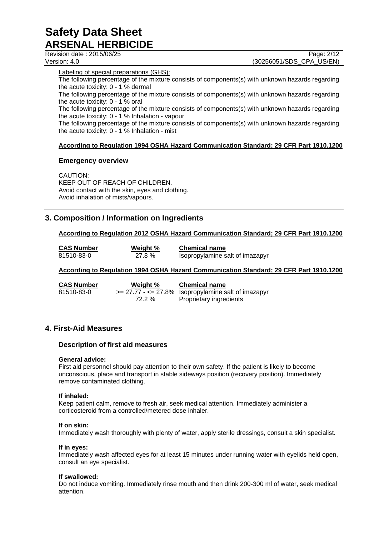Revision date : 2015/06/25 Page: 2/12 Version: 4.0 (30256051/SDS\_CPA\_US/EN)

Labeling of special preparations (GHS):

The following percentage of the mixture consists of components(s) with unknown hazards regarding the acute toxicity: 0 - 1 % dermal

The following percentage of the mixture consists of components(s) with unknown hazards regarding the acute toxicity: 0 - 1 % oral

The following percentage of the mixture consists of components(s) with unknown hazards regarding the acute toxicity: 0 - 1 % Inhalation - vapour

The following percentage of the mixture consists of components(s) with unknown hazards regarding the acute toxicity: 0 - 1 % Inhalation - mist

# **According to Regulation 1994 OSHA Hazard Communication Standard; 29 CFR Part 1910.1200**

## **Emergency overview**

CAUTION: KEEP OUT OF REACH OF CHILDREN. Avoid contact with the skin, eyes and clothing. Avoid inhalation of mists/vapours.

# **3. Composition / Information on Ingredients**

# **According to Regulation 2012 OSHA Hazard Communication Standard; 29 CFR Part 1910.1200**

| <b>CAS Number</b> | Weight % | <b>Chemical name</b>            |
|-------------------|----------|---------------------------------|
| 81510-83-0        | 27.8 %   | Isopropylamine salt of imazapyr |

## **According to Regulation 1994 OSHA Hazard Communication Standard; 29 CFR Part 1910.1200**

| <b>CAS Numbe</b> |
|------------------|
| 81510-83-0       |

**Chemical name Weight % Chemical name**  $\epsilon = 27.77 - \epsilon = 27.8\%$  Isopropylamine salt of imazapyr 72.2 % Proprietary ingredients

# **4. First-Aid Measures**

## **Description of first aid measures**

## **General advice:**

First aid personnel should pay attention to their own safety. If the patient is likely to become unconscious, place and transport in stable sideways position (recovery position). Immediately remove contaminated clothing.

## **If inhaled:**

Keep patient calm, remove to fresh air, seek medical attention. Immediately administer a corticosteroid from a controlled/metered dose inhaler.

## **If on skin:**

Immediately wash thoroughly with plenty of water, apply sterile dressings, consult a skin specialist.

#### **If in eyes:**

Immediately wash affected eyes for at least 15 minutes under running water with eyelids held open, consult an eye specialist.

## **If swallowed:**

Do not induce vomiting. Immediately rinse mouth and then drink 200-300 ml of water, seek medical attention.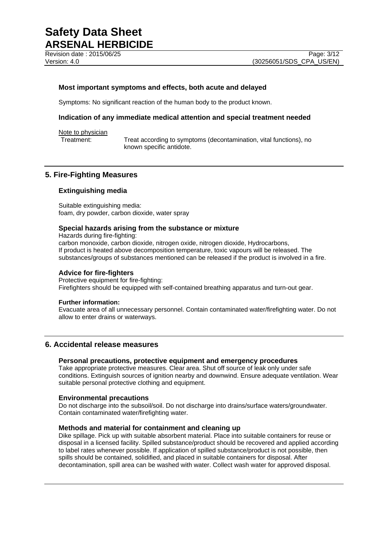Revision date : 2015/06/25 Page: 3/12

## **Most important symptoms and effects, both acute and delayed**

Symptoms: No significant reaction of the human body to the product known.

## **Indication of any immediate medical attention and special treatment needed**

Note to physician

Treatment: Treat according to symptoms (decontamination, vital functions), no known specific antidote.

## **5. Fire-Fighting Measures**

## **Extinguishing media**

Suitable extinguishing media: foam, dry powder, carbon dioxide, water spray

## **Special hazards arising from the substance or mixture**

Hazards during fire-fighting: carbon monoxide, carbon dioxide, nitrogen oxide, nitrogen dioxide, Hydrocarbons, If product is heated above decomposition temperature, toxic vapours will be released. The substances/groups of substances mentioned can be released if the product is involved in a fire.

## **Advice for fire-fighters**

Protective equipment for fire-fighting: Firefighters should be equipped with self-contained breathing apparatus and turn-out gear.

#### **Further information:**

Evacuate area of all unnecessary personnel. Contain contaminated water/firefighting water. Do not allow to enter drains or waterways.

# **6. Accidental release measures**

# **Personal precautions, protective equipment and emergency procedures**

Take appropriate protective measures. Clear area. Shut off source of leak only under safe conditions. Extinguish sources of ignition nearby and downwind. Ensure adequate ventilation. Wear suitable personal protective clothing and equipment.

#### **Environmental precautions**

Do not discharge into the subsoil/soil. Do not discharge into drains/surface waters/groundwater. Contain contaminated water/firefighting water.

## **Methods and material for containment and cleaning up**

Dike spillage. Pick up with suitable absorbent material. Place into suitable containers for reuse or disposal in a licensed facility. Spilled substance/product should be recovered and applied according to label rates whenever possible. If application of spilled substance/product is not possible, then spills should be contained, solidified, and placed in suitable containers for disposal. After decontamination, spill area can be washed with water. Collect wash water for approved disposal.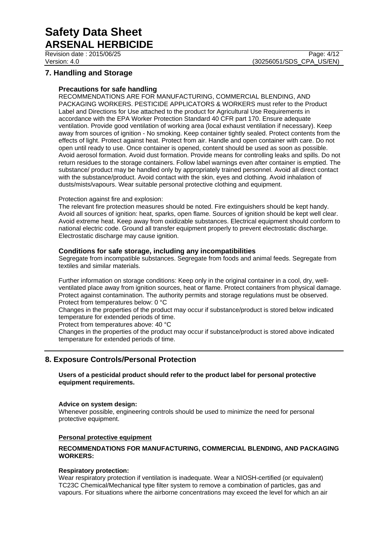# **7. Handling and Storage**

## **Precautions for safe handling**

RECOMMENDATIONS ARE FOR MANUFACTURING, COMMERCIAL BLENDING, AND PACKAGING WORKERS. PESTICIDE APPLICATORS & WORKERS must refer to the Product Label and Directions for Use attached to the product for Agricultural Use Requirements in accordance with the EPA Worker Protection Standard 40 CFR part 170. Ensure adequate ventilation. Provide good ventilation of working area (local exhaust ventilation if necessary). Keep away from sources of ignition - No smoking. Keep container tightly sealed. Protect contents from the effects of light. Protect against heat. Protect from air. Handle and open container with care. Do not open until ready to use. Once container is opened, content should be used as soon as possible. Avoid aerosol formation. Avoid dust formation. Provide means for controlling leaks and spills. Do not return residues to the storage containers. Follow label warnings even after container is emptied. The substance/ product may be handled only by appropriately trained personnel. Avoid all direct contact with the substance/product. Avoid contact with the skin, eyes and clothing. Avoid inhalation of dusts/mists/vapours. Wear suitable personal protective clothing and equipment.

## Protection against fire and explosion:

The relevant fire protection measures should be noted. Fire extinguishers should be kept handy. Avoid all sources of ignition: heat, sparks, open flame. Sources of ignition should be kept well clear. Avoid extreme heat. Keep away from oxidizable substances. Electrical equipment should conform to national electric code. Ground all transfer equipment properly to prevent electrostatic discharge. Electrostatic discharge may cause ignition.

## **Conditions for safe storage, including any incompatibilities**

Segregate from incompatible substances. Segregate from foods and animal feeds. Segregate from textiles and similar materials.

Further information on storage conditions: Keep only in the original container in a cool, dry, wellventilated place away from ignition sources, heat or flame. Protect containers from physical damage. Protect against contamination. The authority permits and storage regulations must be observed. Protect from temperatures below: 0 °C

Changes in the properties of the product may occur if substance/product is stored below indicated temperature for extended periods of time.

Protect from temperatures above: 40 °C

Changes in the properties of the product may occur if substance/product is stored above indicated temperature for extended periods of time.

# **8. Exposure Controls/Personal Protection**

**Users of a pesticidal product should refer to the product label for personal protective equipment requirements.**

## **Advice on system design:**

Whenever possible, engineering controls should be used to minimize the need for personal protective equipment.

## **Personal protective equipment**

## **RECOMMENDATIONS FOR MANUFACTURING, COMMERCIAL BLENDING, AND PACKAGING WORKERS:**

## **Respiratory protection:**

Wear respiratory protection if ventilation is inadequate. Wear a NIOSH-certified (or equivalent) TC23C Chemical/Mechanical type filter system to remove a combination of particles, gas and vapours. For situations where the airborne concentrations may exceed the level for which an air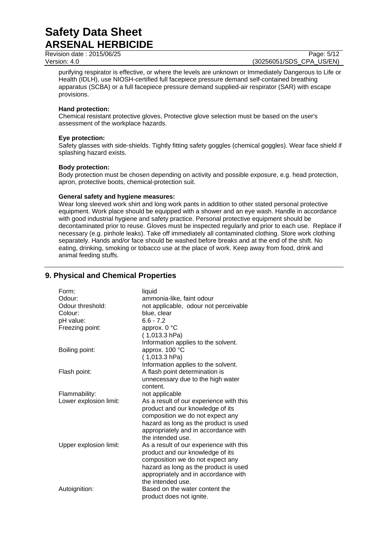Revision date : 2015/06/25 Page: 5/12

Version: 4.0 (30256051/SDS\_CPA\_US/EN)

purifying respirator is effective, or where the levels are unknown or Immediately Dangerous to Life or Health (IDLH), use NIOSH-certified full facepiece pressure demand self-contained breathing apparatus (SCBA) or a full facepiece pressure demand supplied-air respirator (SAR) with escape provisions.

## **Hand protection:**

Chemical resistant protective gloves, Protective glove selection must be based on the user's assessment of the workplace hazards.

## **Eye protection:**

Safety glasses with side-shields. Tightly fitting safety goggles (chemical goggles). Wear face shield if splashing hazard exists.

## **Body protection:**

Body protection must be chosen depending on activity and possible exposure, e.g. head protection, apron, protective boots, chemical-protection suit.

## **General safety and hygiene measures:**

Wear long sleeved work shirt and long work pants in addition to other stated personal protective equipment. Work place should be equipped with a shower and an eye wash. Handle in accordance with good industrial hygiene and safety practice. Personal protective equipment should be decontaminated prior to reuse. Gloves must be inspected regularly and prior to each use. Replace if necessary (e.g. pinhole leaks). Take off immediately all contaminated clothing. Store work clothing separately. Hands and/or face should be washed before breaks and at the end of the shift. No eating, drinking, smoking or tobacco use at the place of work. Keep away from food, drink and animal feeding stuffs.

## Form: liquid Odour: ammonia-like, faint odour Odour threshold: not applicable, odour not perceivable Colour: blue, clear pH value: 6.6 - 7.2 Freezing point: approx. 0 °C ( 1,013.3 hPa) Information applies to the solvent. Boiling point: approx. 100 °C ( 1,013.3 hPa) Information applies to the solvent. Flash point: A flash point determination is unnecessary due to the high water content. Flammability: not applicable Lower explosion limit: As a result of our experience with this product and our knowledge of its composition we do not expect any hazard as long as the product is used appropriately and in accordance with the intended use. Upper explosion limit: As a result of our experience with this product and our knowledge of its composition we do not expect any hazard as long as the product is used appropriately and in accordance with the intended use. Autoignition: Based on the water content the product does not ignite.

# **9. Physical and Chemical Properties**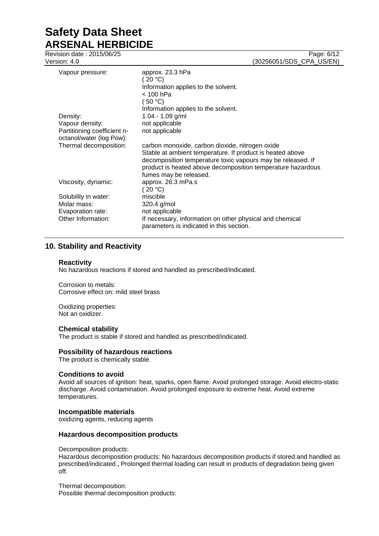Revision date : 2015/06/25 Page: 6/12

Version: 4.0 (30256051/SDS\_CPA\_US/EN)

| Vapour pressure:     |                                                         | approx. 23.3 hPa<br>(20 °C)                                                                                                                                                                                       |
|----------------------|---------------------------------------------------------|-------------------------------------------------------------------------------------------------------------------------------------------------------------------------------------------------------------------|
|                      |                                                         | Information applies to the solvent.<br>$<$ 100 hPa                                                                                                                                                                |
|                      |                                                         | (50 °C)                                                                                                                                                                                                           |
|                      |                                                         | Information applies to the solvent.                                                                                                                                                                               |
| Density:             |                                                         | $1.04 - 1.09$ g/ml                                                                                                                                                                                                |
| Vapour density:      |                                                         | not applicable                                                                                                                                                                                                    |
|                      | Partitioning coefficient n-<br>octanol/water (log Pow): | not applicable                                                                                                                                                                                                    |
|                      | Thermal decomposition:                                  | carbon monoxide, carbon dioxide, nitrogen oxide                                                                                                                                                                   |
|                      |                                                         | Stable at ambient temperature. If product is heated above<br>decomposition temperature toxic vapours may be released. If<br>product is heated above decomposition temperature hazardous<br>fumes may be released. |
| Viscosity, dynamic:  |                                                         | approx. 26.3 mPa.s<br>(20 °C)                                                                                                                                                                                     |
| Solubility in water: |                                                         | miscible                                                                                                                                                                                                          |
| Molar mass:          |                                                         | 320.4 g/mol                                                                                                                                                                                                       |
| Evaporation rate:    |                                                         | not applicable                                                                                                                                                                                                    |
| Other Information:   |                                                         | If necessary, information on other physical and chemical<br>parameters is indicated in this section.                                                                                                              |

# **10. Stability and Reactivity**

## **Reactivity**

No hazardous reactions if stored and handled as prescribed/indicated.

Corrosion to metals: Corrosive effect on: mild steel brass

Oxidizing properties: Not an oxidizer.

# **Chemical stability**

The product is stable if stored and handled as prescribed/indicated.

## **Possibility of hazardous reactions**

The product is chemically stable.

## **Conditions to avoid**

Avoid all sources of ignition: heat, sparks, open flame. Avoid prolonged storage. Avoid electro-static discharge. Avoid contamination. Avoid prolonged exposure to extreme heat. Avoid extreme temperatures.

## **Incompatible materials**

oxidizing agents, reducing agents

## **Hazardous decomposition products**

Decomposition products:

Hazardous decomposition products: No hazardous decomposition products if stored and handled as prescribed/indicated., Prolonged thermal loading can result in products of degradation being given off.

Thermal decomposition: Possible thermal decomposition products: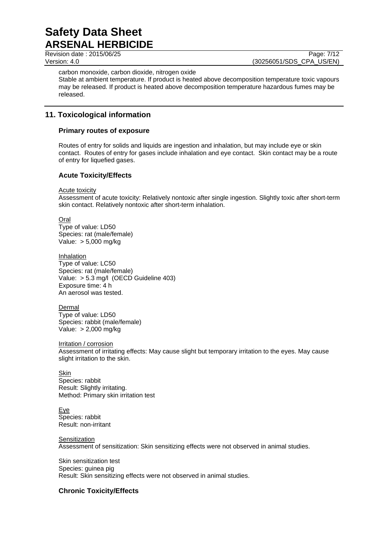Revision date : 2015/06/25

Version: 4.0 (30256051/SDS\_CPA\_US/EN)

carbon monoxide, carbon dioxide, nitrogen oxide

Stable at ambient temperature. If product is heated above decomposition temperature toxic vapours may be released. If product is heated above decomposition temperature hazardous fumes may be released.

# **11. Toxicological information**

# **Primary routes of exposure**

Routes of entry for solids and liquids are ingestion and inhalation, but may include eye or skin contact. Routes of entry for gases include inhalation and eye contact. Skin contact may be a route of entry for liquefied gases.

# **Acute Toxicity/Effects**

Acute toxicity

Assessment of acute toxicity: Relatively nontoxic after single ingestion. Slightly toxic after short-term skin contact. Relatively nontoxic after short-term inhalation.

Oral Type of value: LD50 Species: rat (male/female) Value: > 5,000 mg/kg

Inhalation Type of value: LC50 Species: rat (male/female) Value: > 5.3 mg/l (OECD Guideline 403) Exposure time: 4 h An aerosol was tested.

Dermal Type of value: LD50 Species: rabbit (male/female) Value: > 2,000 mg/kg

Irritation / corrosion

Assessment of irritating effects: May cause slight but temporary irritation to the eyes. May cause slight irritation to the skin.

**Skin** Species: rabbit Result: Slightly irritating. Method: Primary skin irritation test

Eye Species: rabbit Result: non-irritant

**Sensitization** Assessment of sensitization: Skin sensitizing effects were not observed in animal studies.

Skin sensitization test Species: guinea pig Result: Skin sensitizing effects were not observed in animal studies.

# **Chronic Toxicity/Effects**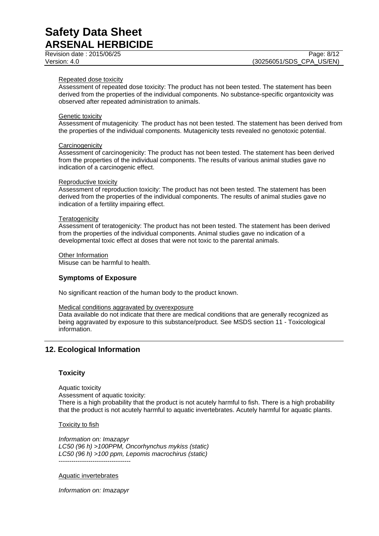Revision date : 2015/06/25 Page: 8/12

#### Repeated dose toxicity

Assessment of repeated dose toxicity: The product has not been tested. The statement has been derived from the properties of the individual components. No substance-specific organtoxicity was observed after repeated administration to animals.

#### Genetic toxicity

Assessment of mutagenicity: The product has not been tested. The statement has been derived from the properties of the individual components. Mutagenicity tests revealed no genotoxic potential.

#### **Carcinogenicity**

Assessment of carcinogenicity: The product has not been tested. The statement has been derived from the properties of the individual components. The results of various animal studies gave no indication of a carcinogenic effect.

#### Reproductive toxicity

Assessment of reproduction toxicity: The product has not been tested. The statement has been derived from the properties of the individual components. The results of animal studies gave no indication of a fertility impairing effect.

#### **Teratogenicity**

Assessment of teratogenicity: The product has not been tested. The statement has been derived from the properties of the individual components. Animal studies gave no indication of a developmental toxic effect at doses that were not toxic to the parental animals.

Other Information Misuse can be harmful to health.

# **Symptoms of Exposure**

No significant reaction of the human body to the product known.

Medical conditions aggravated by overexposure

Data available do not indicate that there are medical conditions that are generally recognized as being aggravated by exposure to this substance/product. See MSDS section 11 - Toxicological information.

# **12. Ecological Information**

## **Toxicity**

Aquatic toxicity Assessment of aquatic toxicity: There is a high probability that the product is not acutely harmful to fish. There is a high probability that the product is not acutely harmful to aquatic invertebrates. Acutely harmful for aquatic plants.

Toxicity to fish

*Information on: Imazapyr LC50 (96 h) >100PPM, Oncorhynchus mykiss (static) LC50 (96 h) >100 ppm, Lepomis macrochirus (static)* ----------------------------------

Aquatic invertebrates

*Information on: Imazapyr*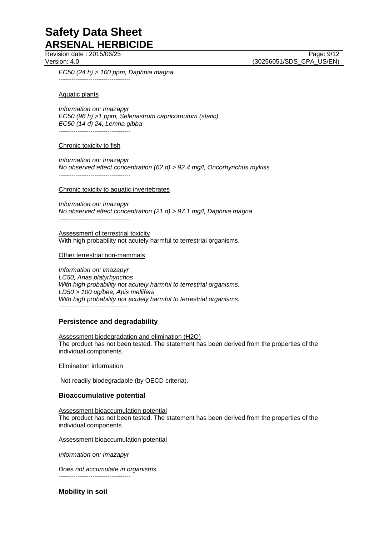Revision date : 2015/06/25 Page: 9/12

Version: 4.0 (30256051/SDS\_CPA\_US/EN)

*EC50 (24 h) > 100 ppm, Daphnia magna* ----------------------------------

## Aquatic plants

*Information on: Imazapyr EC50 (96 h) >1 ppm, Selenastrum capricornutum (static) EC50 (14 d) 24, Lemna gibba* ----------------------------------

## Chronic toxicity to fish

*Information on: Imazapyr No observed effect concentration (62 d) > 92.4 mg/l, Oncorhynchus mykiss* ----------------------------------

## Chronic toxicity to aquatic invertebrates

*Information on: Imazapyr No observed effect concentration (21 d) > 97.1 mg/l, Daphnia magna* ----------------------------------

Assessment of terrestrial toxicity With high probability not acutely harmful to terrestrial organisms.

## Other terrestrial non-mammals

*Information on: imazapyr LC50, Anas platyrhynchos With high probability not acutely harmful to terrestrial organisms. LD50 > 100 ug/bee, Apis mellifera With high probability not acutely harmful to terrestrial organisms.* ----------------------------------

# **Persistence and degradability**

Assessment biodegradation and elimination (H2O) The product has not been tested. The statement has been derived from the properties of the individual components.

Elimination information

Not readily biodegradable (by OECD criteria).

# **Bioaccumulative potential**

Assessment bioaccumulation potential The product has not been tested. The statement has been derived from the properties of the individual components.

Assessment bioaccumulation potential

*Information on: Imazapyr*

*Does not accumulate in organisms.* ----------------------------------

**Mobility in soil**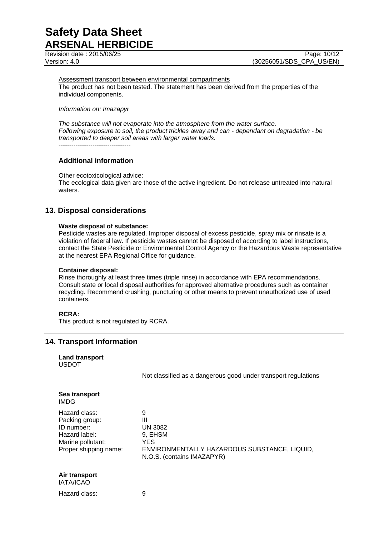Revision date : 2015/06/25 Page: 10/12

Version: 4.0 (30256051/SDS\_CPA\_US/EN)

Assessment transport between environmental compartments The product has not been tested. The statement has been derived from the properties of the individual components.

*Information on: Imazapyr*

*The substance will not evaporate into the atmosphere from the water surface. Following exposure to soil, the product trickles away and can - dependant on degradation - be transported to deeper soil areas with larger water loads.* ----------------------------------

## **Additional information**

Other ecotoxicological advice:

The ecological data given are those of the active ingredient. Do not release untreated into natural waters.

# **13. Disposal considerations**

#### **Waste disposal of substance:**

Pesticide wastes are regulated. Improper disposal of excess pesticide, spray mix or rinsate is a violation of federal law. If pesticide wastes cannot be disposed of according to label instructions, contact the State Pesticide or Environmental Control Agency or the Hazardous Waste representative at the nearest EPA Regional Office for guidance.

#### **Container disposal:**

Rinse thoroughly at least three times (triple rinse) in accordance with EPA recommendations. Consult state or local disposal authorities for approved alternative procedures such as container recycling. Recommend crushing, puncturing or other means to prevent unauthorized use of used containers.

## **RCRA:**

This product is not regulated by RCRA.

# **14. Transport Information**

|              | <b>Land transport</b> |
|--------------|-----------------------|
| <b>USDOT</b> |                       |

Not classified as a dangerous good under transport regulations

| Sea transport<br><b>IMDG</b>                                                                                 |                                                                                                                          |
|--------------------------------------------------------------------------------------------------------------|--------------------------------------------------------------------------------------------------------------------------|
| Hazard class:<br>Packing group:<br>ID number:<br>Hazard label:<br>Marine pollutant:<br>Proper shipping name: | 9<br>Ш<br><b>UN 3082</b><br>9, EHSM<br>YES<br>ENVIRONMENTALLY HAZARDOUS SUBSTANCE, LIQUID,<br>N.O.S. (contains IMAZAPYR) |

#### **Air transport** IATA/ICAO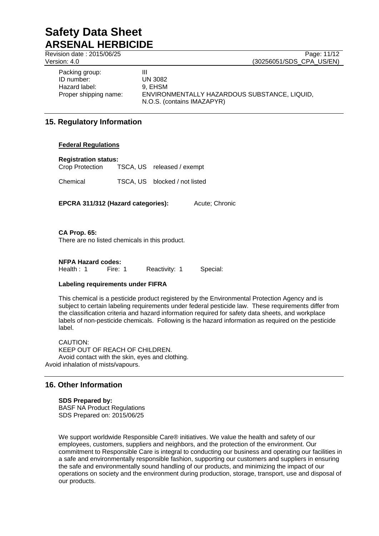Revision date : 2015/06/25 Page: 11/12 Version: 4.0 (30256051/SDS\_CPA\_US/EN) Packing group: III ID number: UN 3082 Hazard label: 9, EHSM

Proper shipping name: ENVIRONMENTALLY HAZARDOUS SUBSTANCE, LIQUID, N.O.S. (contains IMAZAPYR)

# **15. Regulatory Information**

# **Federal Regulations**

## **Registration status:**

Crop Protection TSCA, US released / exempt

Chemical TSCA, US blocked / not listed

**EPCRA 311/312 (Hazard categories):** Acute: Chronic

**CA Prop. 65:**

There are no listed chemicals in this product.

# **NFPA Hazard codes:**

Health : 1 Fire: 1 Reactivity: 1 Special:

# **Labeling requirements under FIFRA**

This chemical is a pesticide product registered by the Environmental Protection Agency and is subject to certain labeling requirements under federal pesticide law. These requirements differ from the classification criteria and hazard information required for safety data sheets, and workplace labels of non-pesticide chemicals. Following is the hazard information as required on the pesticide label.

CAUTION: KEEP OUT OF REACH OF CHILDREN. Avoid contact with the skin, eyes and clothing. Avoid inhalation of mists/vapours.

# **16. Other Information**

**SDS Prepared by:**  BASF NA Product Regulations SDS Prepared on: 2015/06/25

We support worldwide Responsible Care® initiatives. We value the health and safety of our employees, customers, suppliers and neighbors, and the protection of the environment. Our commitment to Responsible Care is integral to conducting our business and operating our facilities in a safe and environmentally responsible fashion, supporting our customers and suppliers in ensuring the safe and environmentally sound handling of our products, and minimizing the impact of our operations on society and the environment during production, storage, transport, use and disposal of our products.